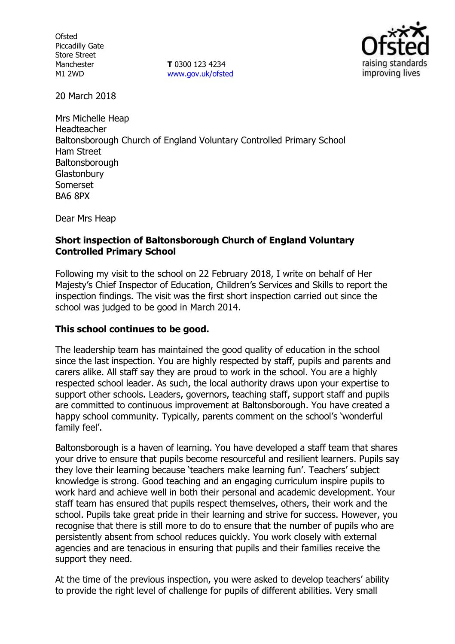**Ofsted** Piccadilly Gate Store Street Manchester M1 2WD

**T** 0300 123 4234 www.gov.uk/ofsted



20 March 2018

Mrs Michelle Heap Headteacher Baltonsborough Church of England Voluntary Controlled Primary School Ham Street **Baltonsborough Glastonbury** Somerset BA6 8PX

Dear Mrs Heap

### **Short inspection of Baltonsborough Church of England Voluntary Controlled Primary School**

Following my visit to the school on 22 February 2018, I write on behalf of Her Majesty's Chief Inspector of Education, Children's Services and Skills to report the inspection findings. The visit was the first short inspection carried out since the school was judged to be good in March 2014.

# **This school continues to be good.**

The leadership team has maintained the good quality of education in the school since the last inspection. You are highly respected by staff, pupils and parents and carers alike. All staff say they are proud to work in the school. You are a highly respected school leader. As such, the local authority draws upon your expertise to support other schools. Leaders, governors, teaching staff, support staff and pupils are committed to continuous improvement at Baltonsborough. You have created a happy school community. Typically, parents comment on the school's 'wonderful family feel'.

Baltonsborough is a haven of learning. You have developed a staff team that shares your drive to ensure that pupils become resourceful and resilient learners. Pupils say they love their learning because 'teachers make learning fun'. Teachers' subject knowledge is strong. Good teaching and an engaging curriculum inspire pupils to work hard and achieve well in both their personal and academic development. Your staff team has ensured that pupils respect themselves, others, their work and the school. Pupils take great pride in their learning and strive for success. However, you recognise that there is still more to do to ensure that the number of pupils who are persistently absent from school reduces quickly. You work closely with external agencies and are tenacious in ensuring that pupils and their families receive the support they need.

At the time of the previous inspection, you were asked to develop teachers' ability to provide the right level of challenge for pupils of different abilities. Very small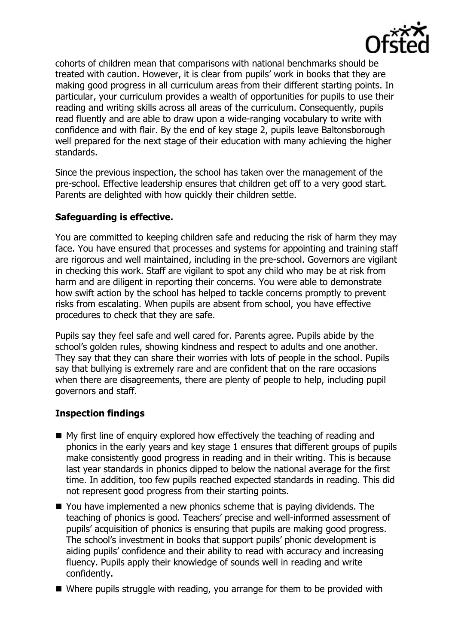

cohorts of children mean that comparisons with national benchmarks should be treated with caution. However, it is clear from pupils' work in books that they are making good progress in all curriculum areas from their different starting points. In particular, your curriculum provides a wealth of opportunities for pupils to use their reading and writing skills across all areas of the curriculum. Consequently, pupils read fluently and are able to draw upon a wide-ranging vocabulary to write with confidence and with flair. By the end of key stage 2, pupils leave Baltonsborough well prepared for the next stage of their education with many achieving the higher standards.

Since the previous inspection, the school has taken over the management of the pre-school. Effective leadership ensures that children get off to a very good start. Parents are delighted with how quickly their children settle.

### **Safeguarding is effective.**

You are committed to keeping children safe and reducing the risk of harm they may face. You have ensured that processes and systems for appointing and training staff are rigorous and well maintained, including in the pre-school. Governors are vigilant in checking this work. Staff are vigilant to spot any child who may be at risk from harm and are diligent in reporting their concerns. You were able to demonstrate how swift action by the school has helped to tackle concerns promptly to prevent risks from escalating. When pupils are absent from school, you have effective procedures to check that they are safe.

Pupils say they feel safe and well cared for. Parents agree. Pupils abide by the school's golden rules, showing kindness and respect to adults and one another. They say that they can share their worries with lots of people in the school. Pupils say that bullying is extremely rare and are confident that on the rare occasions when there are disagreements, there are plenty of people to help, including pupil governors and staff.

# **Inspection findings**

- My first line of enquiry explored how effectively the teaching of reading and phonics in the early years and key stage 1 ensures that different groups of pupils make consistently good progress in reading and in their writing. This is because last year standards in phonics dipped to below the national average for the first time. In addition, too few pupils reached expected standards in reading. This did not represent good progress from their starting points.
- You have implemented a new phonics scheme that is paying dividends. The teaching of phonics is good. Teachers' precise and well-informed assessment of pupils' acquisition of phonics is ensuring that pupils are making good progress. The school's investment in books that support pupils' phonic development is aiding pupils' confidence and their ability to read with accuracy and increasing fluency. Pupils apply their knowledge of sounds well in reading and write confidently.
- Where pupils struggle with reading, you arrange for them to be provided with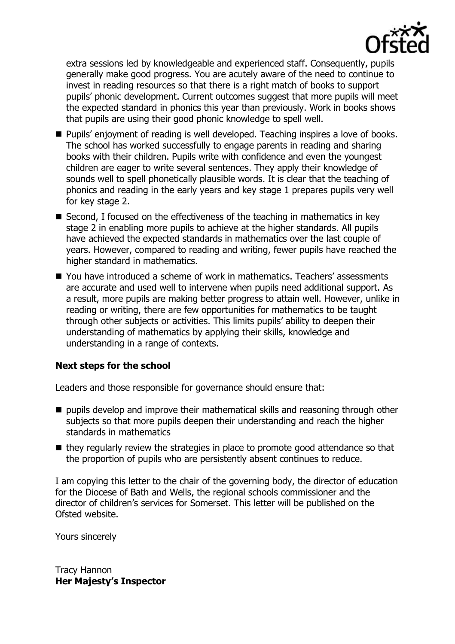

extra sessions led by knowledgeable and experienced staff. Consequently, pupils generally make good progress. You are acutely aware of the need to continue to invest in reading resources so that there is a right match of books to support pupils' phonic development. Current outcomes suggest that more pupils will meet the expected standard in phonics this year than previously. Work in books shows that pupils are using their good phonic knowledge to spell well.

- Pupils' enjoyment of reading is well developed. Teaching inspires a love of books. The school has worked successfully to engage parents in reading and sharing books with their children. Pupils write with confidence and even the youngest children are eager to write several sentences. They apply their knowledge of sounds well to spell phonetically plausible words. It is clear that the teaching of phonics and reading in the early years and key stage 1 prepares pupils very well for key stage 2.
- Second, I focused on the effectiveness of the teaching in mathematics in key stage 2 in enabling more pupils to achieve at the higher standards. All pupils have achieved the expected standards in mathematics over the last couple of years. However, compared to reading and writing, fewer pupils have reached the higher standard in mathematics.
- You have introduced a scheme of work in mathematics. Teachers' assessments are accurate and used well to intervene when pupils need additional support. As a result, more pupils are making better progress to attain well. However, unlike in reading or writing, there are few opportunities for mathematics to be taught through other subjects or activities. This limits pupils' ability to deepen their understanding of mathematics by applying their skills, knowledge and understanding in a range of contexts.

### **Next steps for the school**

Leaders and those responsible for governance should ensure that:

- $\blacksquare$  pupils develop and improve their mathematical skills and reasoning through other subjects so that more pupils deepen their understanding and reach the higher standards in mathematics
- $\blacksquare$  they regularly review the strategies in place to promote good attendance so that the proportion of pupils who are persistently absent continues to reduce.

I am copying this letter to the chair of the governing body, the director of education for the Diocese of Bath and Wells, the regional schools commissioner and the director of children's services for Somerset. This letter will be published on the Ofsted website.

Yours sincerely

Tracy Hannon **Her Majesty's Inspector**